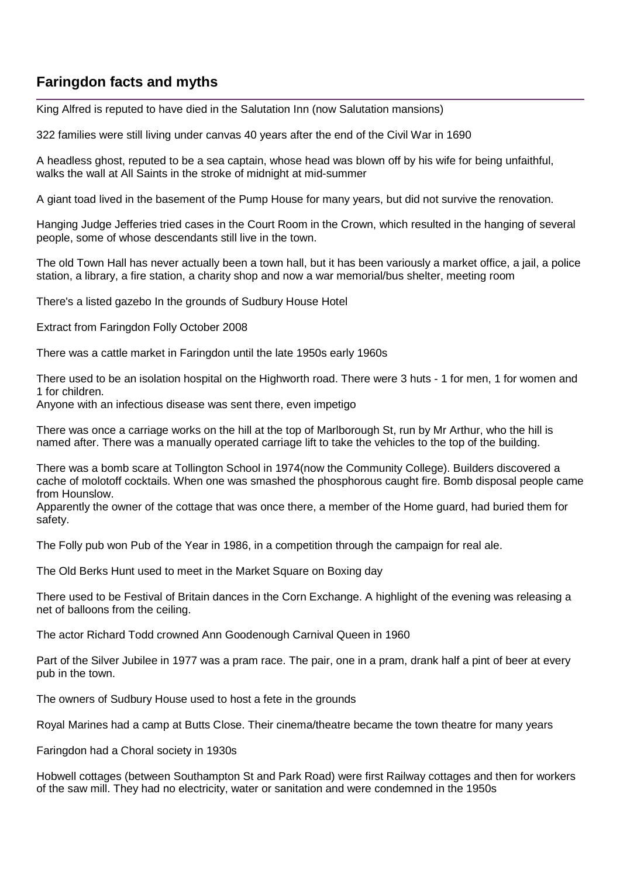## **Faringdon facts and myths**

King Alfred is reputed to have died in the Salutation Inn (now Salutation mansions)

322 families were still living under canvas 40 years after the end of the Civil War in 1690

A headless ghost, reputed to be a sea captain, whose head was blown off by his wife for being unfaithful, walks the wall at All Saints in the stroke of midnight at mid-summer

A giant toad lived in the basement of the Pump House for many years, but did not survive the renovation.

Hanging Judge Jefferies tried cases in the Court Room in the Crown, which resulted in the hanging of several people, some of whose descendants still live in the town.

The old Town Hall has never actually been a town hall, but it has been variously a market office, a jail, a police station, a library, a fire station, a charity shop and now a war memorial/bus shelter, meeting room

There's a listed gazebo In the grounds of Sudbury House Hotel

Extract from Faringdon Folly October 2008

There was a cattle market in Faringdon until the late 1950s early 1960s

There used to be an isolation hospital on the Highworth road. There were 3 huts - 1 for men, 1 for women and 1 for children.

Anyone with an infectious disease was sent there, even impetigo

There was once a carriage works on the hill at the top of Marlborough St, run by Mr Arthur, who the hill is named after. There was a manually operated carriage lift to take the vehicles to the top of the building.

There was a bomb scare at Tollington School in 1974(now the Community College). Builders discovered a cache of molotoff cocktails. When one was smashed the phosphorous caught fire. Bomb disposal people came from Hounslow.

Apparently the owner of the cottage that was once there, a member of the Home guard, had buried them for safety.

The Folly pub won Pub of the Year in 1986, in a competition through the campaign for real ale.

The Old Berks Hunt used to meet in the Market Square on Boxing day

There used to be Festival of Britain dances in the Corn Exchange. A highlight of the evening was releasing a net of balloons from the ceiling.

The actor Richard Todd crowned Ann Goodenough Carnival Queen in 1960

Part of the Silver Jubilee in 1977 was a pram race. The pair, one in a pram, drank half a pint of beer at every pub in the town.

The owners of Sudbury House used to host a fete in the grounds

Royal Marines had a camp at Butts Close. Their cinema/theatre became the town theatre for many years

Faringdon had a Choral society in 1930s

Hobwell cottages (between Southampton St and Park Road) were first Railway cottages and then for workers of the saw mill. They had no electricity, water or sanitation and were condemned in the 1950s